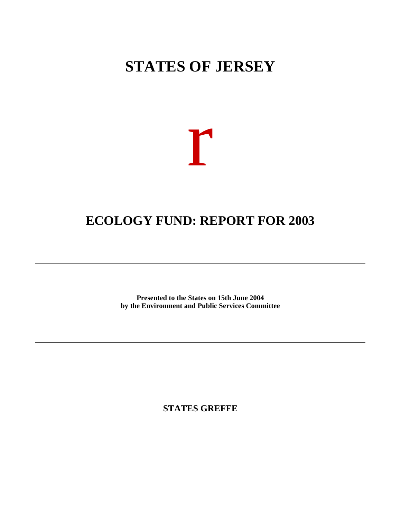# **STATES OF JERSEY**



# **ECOLOGY FUND: REPORT FOR 2003**

**Presented to the States on 15th June 2004 by the Environment and Public Services Committee**

**STATES GREFFE**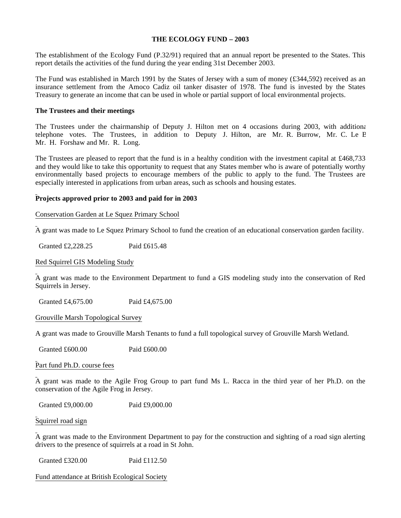#### **THE ECOLOGY FUND – 2003**

The establishment of the Ecology Fund (P.32/91) required that an annual report be presented to the States. This report details the activities of the fund during the year ending 31st December 2003.

The Fund was established in March 1991 by the States of Jersey with a sum of money (£344,592) received as an insurance settlement from the Amoco Cadiz oil tanker disaster of 1978. The fund is invested by the States Treasury to generate an income that can be used in whole or partial support of local environmental projects.

#### **The Trustees and their meetings**

The Trustees under the chairmanship of Deputy J. Hilton met on 4 occasions during 2003, with additional telephone votes. The Trustees, in addition to Deputy J. Hilton, are Mr. R. Burrow, Mr. C. Le B Mr. H. Forshaw and Mr. R. Long.

The Trustees are pleased to report that the fund is in a healthy condition with the investment capital at £468,733 and they would like to take this opportunity to request that any States member who is aware of potentially worthy environmentally based projects to encourage members of the public to apply to the fund. The Trustees are especially interested in applications from urban areas, such as schools and housing estates.

#### **Projects approved prior to 2003 and paid for in 2003**

Conservation Garden at Le Squez Primary School

A grant was made to Le Squez Primary School to fund the creation of an educational conservation garden facility.

Granted £2,228.25 Paid £615.48

Red Squirrel GIS Modeling Study

A grant was made to the Environment Department to fund a GIS modeling study into the conservation of Red Squirrels in Jersey.

Granted £4,675.00 Paid £4,675.00

Grouville Marsh Topological Survey

A grant was made to Grouville Marsh Tenants to fund a full topological survey of Grouville Marsh Wetland.

Granted £600.00 Paid £600.00

Part fund Ph.D. course fees

A grant was made to the Agile Frog Group to part fund Ms L. Racca in the third year of her Ph.D. on the conservation of the Agile Frog in Jersey.

Granted £9,000.00 Paid £9,000.00

Squirrel road sign

A grant was made to the Environment Department to pay for the construction and sighting of a road sign alerting drivers to the presence of squirrels at a road in St John.

Granted £320.00 Paid £112.50

Fund attendance at British Ecological Society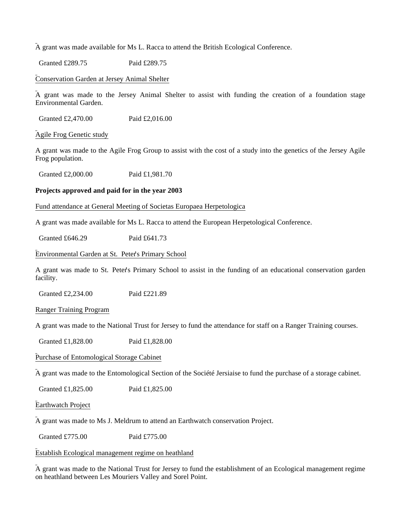A grant was made available for Ms L. Racca to attend the British Ecological Conference.

Granted £289.75 Paid £289.75

### Conservation Garden at Jersey Animal Shelter

A grant was made to the Jersey Animal Shelter to assist with funding the creation of a foundation stage Environmental Garden.

Granted £2,470.00 Paid £2,016.00

#### Agile Frog Genetic study

A grant was made to the Agile Frog Group to assist with the cost of a study into the genetics of the Jersey Agile Frog population.

Granted £2,000.00 Paid £1,981.70

#### **Projects approved and paid for in the year 2003**

Fund attendance at General Meeting of Societas Europaea Herpetologica

A grant was made available for Ms L. Racca to attend the European Herpetological Conference.

Granted £646.29 Paid £641.73

Environmental Garden at St. Peter's Primary School

A grant was made to St. Peter's Primary School to assist in the funding of an educational conservation garden facility.

Granted £2,234.00 Paid £221.89

Ranger Training Program

A grant was made to the National Trust for Jersey to fund the attendance for staff on a Ranger Training courses.

Granted £1,828,00 Paid £1,828,00

Purchase of Entomological Storage Cabinet

A grant was made to the Entomological Section of the Société Jersiaise to fund the purchase of a storage cabinet.

Granted £1,825.00 Paid £1,825.00

Earthwatch Project

A grant was made to Ms J. Meldrum to attend an Earthwatch conservation Project.

Granted £775.00 Paid £775.00

#### Establish Ecological management regime on heathland

A grant was made to the National Trust for Jersey to fund the establishment of an Ecological management regime on heathland between Les Mouriers Valley and Sorel Point.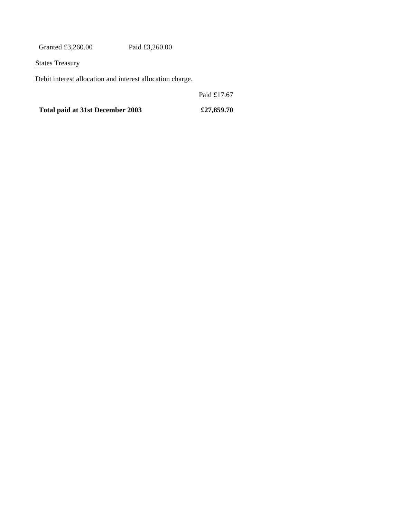Granted £3,260.00 Paid £3,260.00

**States Treasury** 

Debit interest allocation and interest allocation charge.

Paid £17.67

**Total paid at 31st December 2003 £27,859.70**